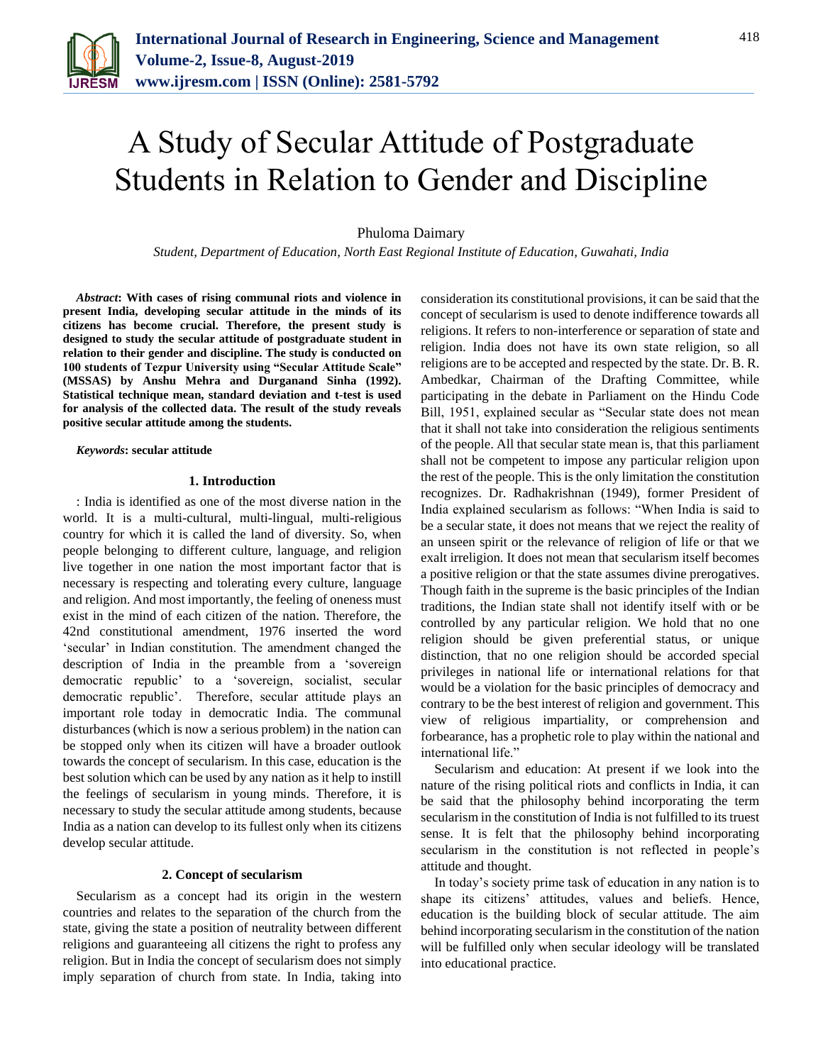

# A Study of Secular Attitude of Postgraduate Students in Relation to Gender and Discipline

Phuloma Daimary

*Student, Department of Education, North East Regional Institute of Education, Guwahati, India*

*Abstract***: With cases of rising communal riots and violence in present India, developing secular attitude in the minds of its citizens has become crucial. Therefore, the present study is designed to study the secular attitude of postgraduate student in relation to their gender and discipline. The study is conducted on 100 students of Tezpur University using "Secular Attitude Scale" (MSSAS) by Anshu Mehra and Durganand Sinha (1992). Statistical technique mean, standard deviation and t-test is used for analysis of the collected data. The result of the study reveals positive secular attitude among the students.**

*Keywords***: secular attitude**

#### **1. Introduction**

: India is identified as one of the most diverse nation in the world. It is a multi-cultural, multi-lingual, multi-religious country for which it is called the land of diversity. So, when people belonging to different culture, language, and religion live together in one nation the most important factor that is necessary is respecting and tolerating every culture, language and religion. And most importantly, the feeling of oneness must exist in the mind of each citizen of the nation. Therefore, the 42nd constitutional amendment, 1976 inserted the word 'secular' in Indian constitution. The amendment changed the description of India in the preamble from a 'sovereign democratic republic' to a 'sovereign, socialist, secular democratic republic'. Therefore, secular attitude plays an important role today in democratic India. The communal disturbances (which is now a serious problem) in the nation can be stopped only when its citizen will have a broader outlook towards the concept of secularism. In this case, education is the best solution which can be used by any nation as it help to instill the feelings of secularism in young minds. Therefore, it is necessary to study the secular attitude among students, because India as a nation can develop to its fullest only when its citizens develop secular attitude.

### **2. Concept of secularism**

Secularism as a concept had its origin in the western countries and relates to the separation of the church from the state, giving the state a position of neutrality between different religions and guaranteeing all citizens the right to profess any religion. But in India the concept of secularism does not simply imply separation of church from state. In India, taking into

consideration its constitutional provisions, it can be said that the concept of secularism is used to denote indifference towards all religions. It refers to non-interference or separation of state and religion. India does not have its own state religion, so all religions are to be accepted and respected by the state. Dr. B. R. Ambedkar, Chairman of the Drafting Committee, while participating in the debate in Parliament on the Hindu Code Bill, 1951, explained secular as "Secular state does not mean that it shall not take into consideration the religious sentiments of the people. All that secular state mean is, that this parliament shall not be competent to impose any particular religion upon the rest of the people. This is the only limitation the constitution recognizes. Dr. Radhakrishnan (1949), former President of India explained secularism as follows: "When India is said to be a secular state, it does not means that we reject the reality of an unseen spirit or the relevance of religion of life or that we exalt irreligion. It does not mean that secularism itself becomes a positive religion or that the state assumes divine prerogatives. Though faith in the supreme is the basic principles of the Indian traditions, the Indian state shall not identify itself with or be controlled by any particular religion. We hold that no one religion should be given preferential status, or unique distinction, that no one religion should be accorded special privileges in national life or international relations for that would be a violation for the basic principles of democracy and contrary to be the best interest of religion and government. This view of religious impartiality, or comprehension and forbearance, has a prophetic role to play within the national and international life."

Secularism and education: At present if we look into the nature of the rising political riots and conflicts in India, it can be said that the philosophy behind incorporating the term secularism in the constitution of India is not fulfilled to its truest sense. It is felt that the philosophy behind incorporating secularism in the constitution is not reflected in people's attitude and thought.

In today's society prime task of education in any nation is to shape its citizens' attitudes, values and beliefs. Hence, education is the building block of secular attitude. The aim behind incorporating secularism in the constitution of the nation will be fulfilled only when secular ideology will be translated into educational practice.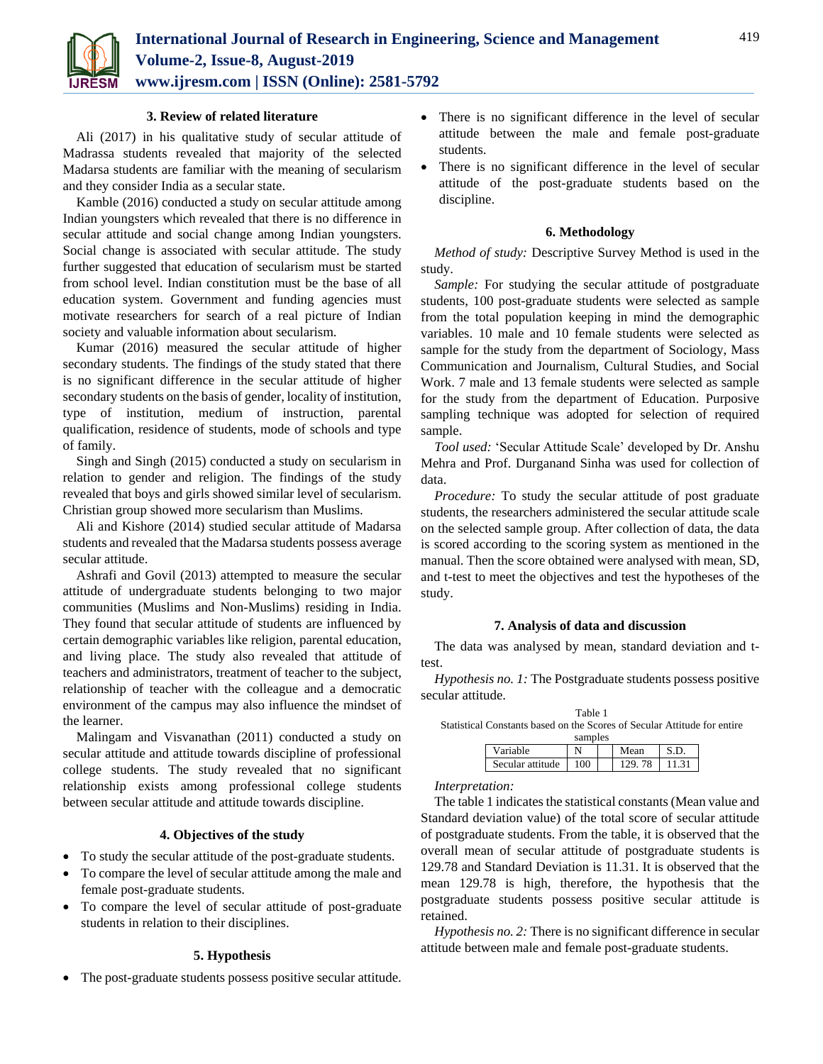

### **3. Review of related literature**

Ali (2017) in his qualitative study of secular attitude of Madrassa students revealed that majority of the selected Madarsa students are familiar with the meaning of secularism and they consider India as a secular state.

Kamble (2016) conducted a study on secular attitude among Indian youngsters which revealed that there is no difference in secular attitude and social change among Indian youngsters. Social change is associated with secular attitude. The study further suggested that education of secularism must be started from school level. Indian constitution must be the base of all education system. Government and funding agencies must motivate researchers for search of a real picture of Indian society and valuable information about secularism.

Kumar (2016) measured the secular attitude of higher secondary students. The findings of the study stated that there is no significant difference in the secular attitude of higher secondary students on the basis of gender, locality of institution, type of institution, medium of instruction, parental qualification, residence of students, mode of schools and type of family.

Singh and Singh (2015) conducted a study on secularism in relation to gender and religion. The findings of the study revealed that boys and girls showed similar level of secularism. Christian group showed more secularism than Muslims.

Ali and Kishore (2014) studied secular attitude of Madarsa students and revealed that the Madarsa students possess average secular attitude.

Ashrafi and Govil (2013) attempted to measure the secular attitude of undergraduate students belonging to two major communities (Muslims and Non-Muslims) residing in India. They found that secular attitude of students are influenced by certain demographic variables like religion, parental education, and living place. The study also revealed that attitude of teachers and administrators, treatment of teacher to the subject, relationship of teacher with the colleague and a democratic environment of the campus may also influence the mindset of the learner.

Malingam and Visvanathan (2011) conducted a study on secular attitude and attitude towards discipline of professional college students. The study revealed that no significant relationship exists among professional college students between secular attitude and attitude towards discipline.

## **4. Objectives of the study**

- To study the secular attitude of the post-graduate students.
- To compare the level of secular attitude among the male and female post-graduate students.
- To compare the level of secular attitude of post-graduate students in relation to their disciplines.

## **5. Hypothesis**

The post-graduate students possess positive secular attitude.

- There is no significant difference in the level of secular attitude between the male and female post-graduate students.
- There is no significant difference in the level of secular attitude of the post-graduate students based on the discipline.

### **6. Methodology**

*Method of study:* Descriptive Survey Method is used in the study.

*Sample:* For studying the secular attitude of postgraduate students, 100 post-graduate students were selected as sample from the total population keeping in mind the demographic variables. 10 male and 10 female students were selected as sample for the study from the department of Sociology, Mass Communication and Journalism, Cultural Studies, and Social Work. 7 male and 13 female students were selected as sample for the study from the department of Education. Purposive sampling technique was adopted for selection of required sample.

*Tool used:* 'Secular Attitude Scale' developed by Dr. Anshu Mehra and Prof. Durganand Sinha was used for collection of data.

*Procedure:* To study the secular attitude of post graduate students, the researchers administered the secular attitude scale on the selected sample group. After collection of data, the data is scored according to the scoring system as mentioned in the manual. Then the score obtained were analysed with mean, SD, and t-test to meet the objectives and test the hypotheses of the study.

### **7. Analysis of data and discussion**

The data was analysed by mean, standard deviation and ttest.

*Hypothesis no. 1:* The Postgraduate students possess positive secular attitude.

Table 1 Statistical Constants based on the Scores of Secular Attitude for entire samples

| samples          |               |  |          |  |  |  |  |  |
|------------------|---------------|--|----------|--|--|--|--|--|
| 'ariable         |               |  | Mean     |  |  |  |  |  |
| Secular attitude | $100^{\circ}$ |  | 78<br>20 |  |  |  |  |  |

### *Interpretation:*

The table 1 indicates the statistical constants (Mean value and Standard deviation value) of the total score of secular attitude of postgraduate students. From the table, it is observed that the overall mean of secular attitude of postgraduate students is 129.78 and Standard Deviation is 11.31. It is observed that the mean 129.78 is high, therefore, the hypothesis that the postgraduate students possess positive secular attitude is retained.

*Hypothesis no. 2:* There is no significant difference in secular attitude between male and female post-graduate students.